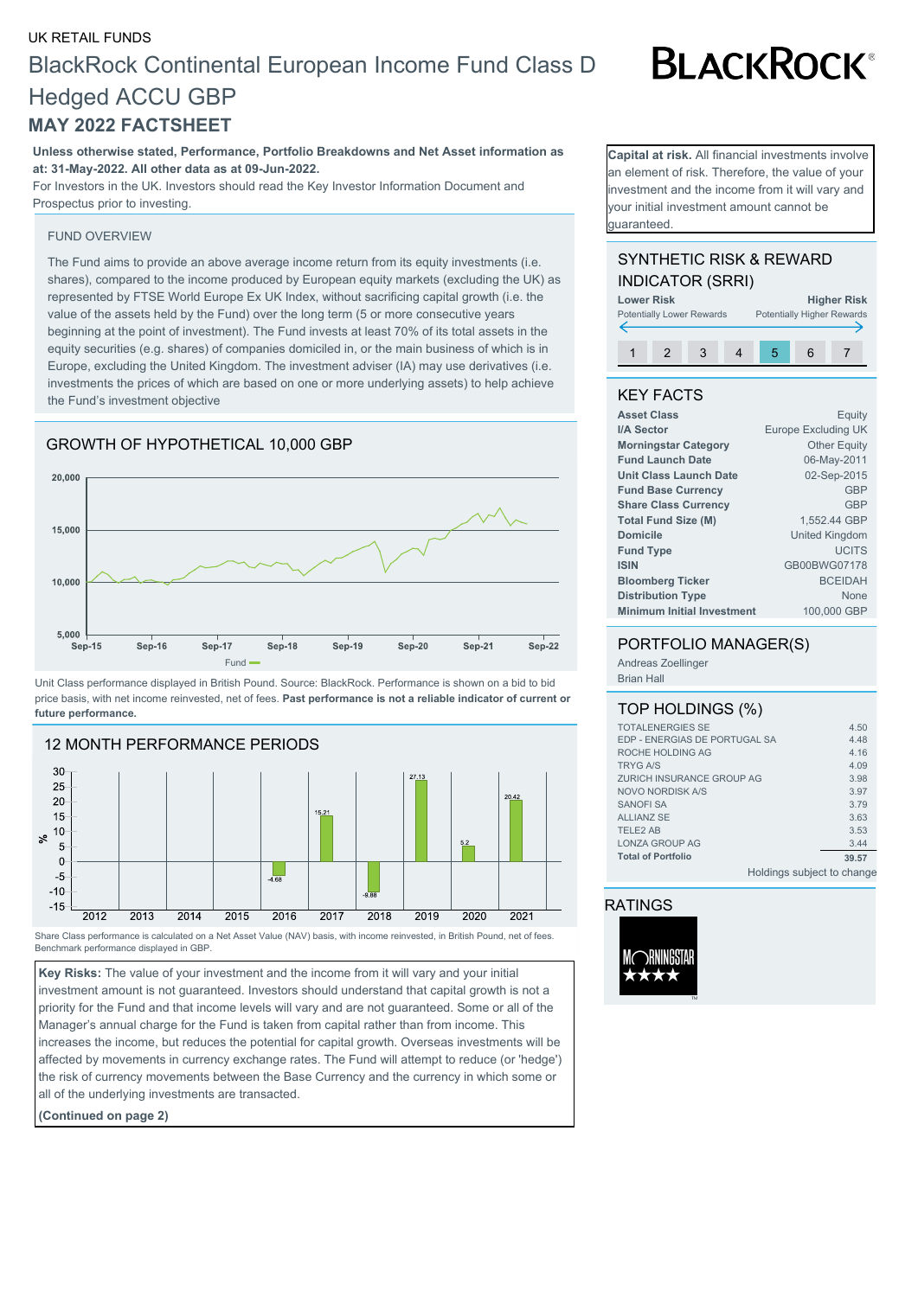# UK RETAIL FUNDS BlackRock Continental European Income Fund Class D Hedged ACCU GBP **MAY 2022 FACTSHEET**

**Unless otherwise stated, Performance, Portfolio Breakdowns and Net Asset information as at: 31-May-2022. All other data as at 09-Jun-2022.**

For Investors in the UK. Investors should read the Key Investor Information Document and Prospectus prior to investing.

#### FUND OVERVIEW

The Fund aims to provide an above average income return from its equity investments (i.e. shares), compared to the income produced by European equity markets (excluding the UK) as represented by FTSE World Europe Ex UK Index, without sacrificing capital growth (i.e. the value of the assets held by the Fund) over the long term (5 or more consecutive years beginning at the point of investment). The Fund invests at least 70% of its total assets in the equity securities (e.g. shares) of companies domiciled in, or the main business of which is in Europe, excluding the United Kingdom. The investment adviser (IA) may use derivatives (i.e. investments the prices of which are based on one or more underlying assets) to help achieve the Fund's investment objective

### GROWTH OF HYPOTHETICAL 10,000 GBP



Unit Class performance displayed in British Pound. Source: BlackRock. Performance is shown on a bid to bid price basis, with net income reinvested, net of fees. **Past performance is not a reliable indicator of current or future performance.**



Share Class performance is calculated on a Net Asset Value (NAV) basis, with income reinvested, in British Pound, net of fees. Benchmark performance displayed in GBP.

**Key Risks:** The value of your investment and the income from it will vary and your initial investment amount is not guaranteed. Investors should understand that capital growth is not a priority for the Fund and that income levels will vary and are not guaranteed. Some or all of the Manager's annual charge for the Fund is taken from capital rather than from income. This increases the income, but reduces the potential for capital growth. Overseas investments will be affected by movements in currency exchange rates. The Fund will attempt to reduce (or 'hedge') the risk of currency movements between the Base Currency and the currency in which some or all of the underlying investments are transacted.

**(Continued on page 2)**

**Capital at risk.** All financial investments involve an element of risk. Therefore, the value of your nvestment and the income from it will vary and your initial investment amount cannot be guaranteed.

# SYNTHETIC RISK & REWARD INDICATOR (SRRI)



# KEY FACTS

| <b>Asset Class</b>                | Equity                |
|-----------------------------------|-----------------------|
| I/A Sector                        | Europe Excluding UK   |
| <b>Morningstar Category</b>       | <b>Other Equity</b>   |
| <b>Fund Launch Date</b>           | 06-May-2011           |
| <b>Unit Class Launch Date</b>     | 02-Sep-2015           |
| <b>Fund Base Currency</b>         | <b>GBP</b>            |
| <b>Share Class Currency</b>       | <b>GBP</b>            |
| <b>Total Fund Size (M)</b>        | 1,552.44 GBP          |
| <b>Domicile</b>                   | <b>United Kingdom</b> |
| <b>Fund Type</b>                  | <b>UCITS</b>          |
| <b>ISIN</b>                       | GB00BWG07178          |
| <b>Bloomberg Ticker</b>           | <b>BCEIDAH</b>        |
| <b>Distribution Type</b>          | None                  |
| <b>Minimum Initial Investment</b> | 100,000 GBP           |
|                                   |                       |

### PORTFOLIO MANAGER(S)

Andreas Zoellinger Brian Hall

### TOP HOLDINGS (%)

| <b>TOTALENERGIES SE</b>       |                            | 4.50  |
|-------------------------------|----------------------------|-------|
| EDP - ENERGIAS DE PORTUGAL SA |                            | 4.48  |
| ROCHE HOLDING AG              |                            | 4.16  |
| <b>TRYG A/S</b>               |                            | 4.09  |
| ZURICH INSURANCE GROUP AG     |                            | 3.98  |
| NOVO NORDISK A/S              |                            | 3.97  |
| <b>SANOFI SA</b>              |                            | 3.79  |
| <b>ALLIANZ SE</b>             |                            | 3.63  |
| <b>TELE2 AB</b>               |                            | 3.53  |
| LONZA GROUP AG                |                            | 3.44  |
| <b>Total of Portfolio</b>     |                            | 39.57 |
|                               | Holdings subject to change |       |

## RATINGS



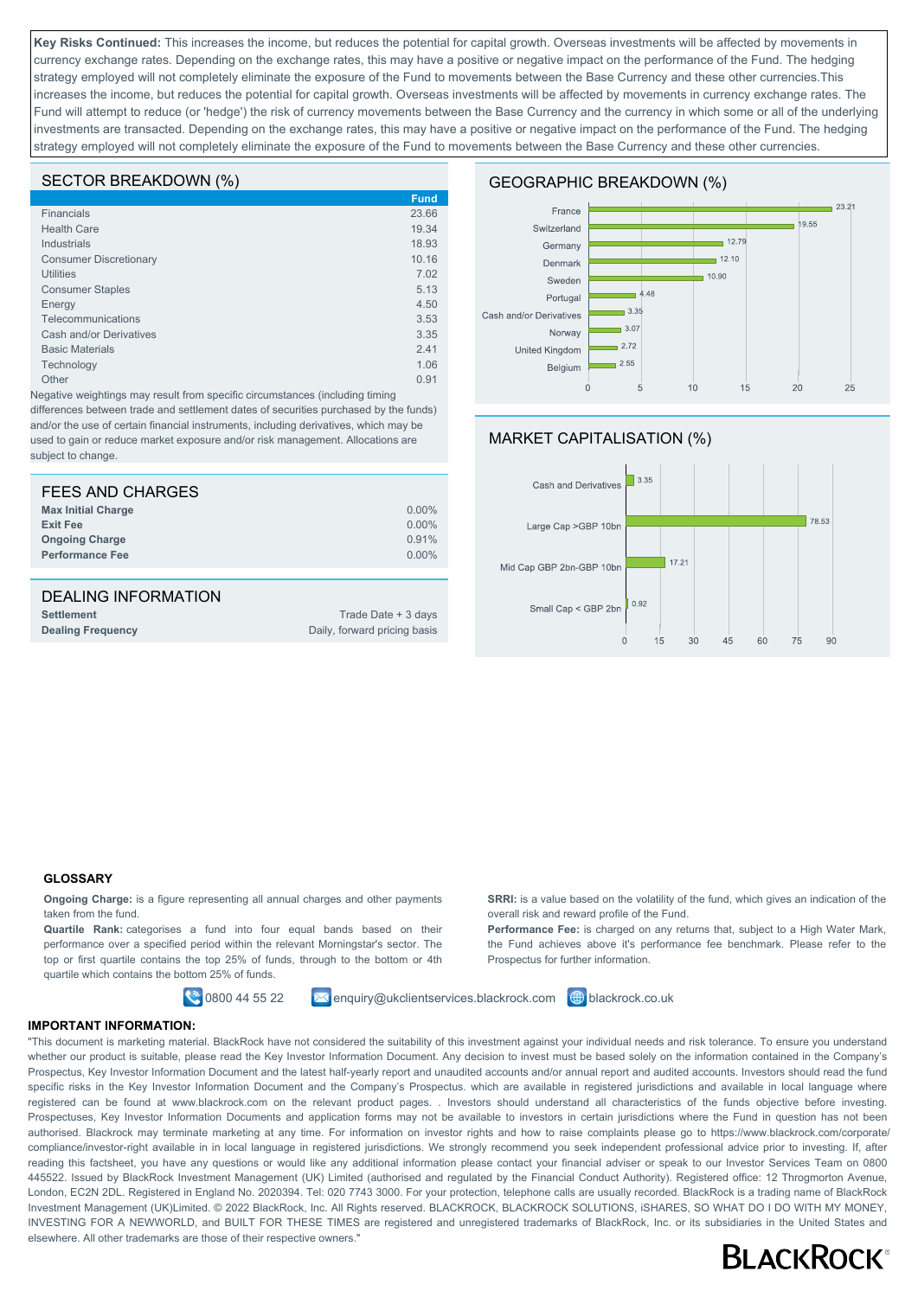**Key Risks Continued:** This increases the income, but reduces the potential for capital growth. Overseas investments will be affected by movements in currency exchange rates. Depending on the exchange rates, this may have a positive or negative impact on the performance of the Fund. The hedging strategy employed will not completely eliminate the exposure of the Fund to movements between the Base Currency and these other currencies. This increases the income, but reduces the potential for capital growth. Overseas investments will be affected by movements in currency exchange rates. The Fund will attempt to reduce (or 'hedge') the risk of currency movements between the Base Currency and the currency in which some or all of the underlying investments are transacted. Depending on the exchange rates, this may have a positive or negative impact on the performance of the Fund. The hedging strategy employed will not completely eliminate the exposure of the Fund to movements between the Base Currency and these other currencies.

### SECTOR BREAKDOWN (%)

|                               | <b>Fund</b> |
|-------------------------------|-------------|
| Financials                    | 23.66       |
| <b>Health Care</b>            | 19.34       |
| <b>Industrials</b>            | 18.93       |
| <b>Consumer Discretionary</b> | 10.16       |
| <b>Utilities</b>              | 7.02        |
| <b>Consumer Staples</b>       | 5.13        |
| Energy                        | 4.50        |
| Telecommunications            | 3.53        |
| Cash and/or Derivatives       | 3.35        |
| <b>Basic Materials</b>        | 2.41        |
| Technology                    | 1.06        |
| Other                         | 0.91        |
|                               |             |

Negative weightings may result from specific circumstances (including timing differences between trade and settlement dates of securities purchased by the funds) and/or the use of certain financial instruments, including derivatives, which may be used to gain or reduce market exposure and/or risk management. Allocations are subject to change.

| FEES AND CHARGES          |          |
|---------------------------|----------|
| <b>Max Initial Charge</b> | $0.00\%$ |
| <b>Exit Fee</b>           | $0.00\%$ |
| <b>Ongoing Charge</b>     | 0.91%    |
| <b>Performance Fee</b>    | $0.00\%$ |
|                           |          |

# DEALING INFORMATION

**Settlement** Trade Date + 3 days **Dealing Frequency** Dealing **Frequency** Daily, forward pricing basis

### GEOGRAPHIC BREAKDOWN (%)



# MARKET CAPITALISATION (%)



### **GLOSSARY**

**Ongoing Charge:** is a figure representing all annual charges and other payments taken from the fund.

**Quartile Rank:** categorises a fund into four equal bands based on their performance over a specified period within the relevant Morningstar's sector. The top or first quartile contains the top 25% of funds, through to the bottom or 4th quartile which contains the bottom 25% of funds.



 $\bigcirc$  0800 44 55 22  $\bigcirc$  enquiry@ukclientservices.blackrock.com  $\bigcirc$  blackrock.co.uk

**SRRI:** is a value based on the volatility of the fund, which gives an indication of the overall risk and reward profile of the Fund.

**Performance Fee:** is charged on any returns that, subject to a High Water Mark, the Fund achieves above it's performance fee benchmark. Please refer to the Prospectus for further information.

**IMPORTANT INFORMATION:**

"This document is marketing material. BlackRock have not considered the suitability of this investment against your individual needs and risk tolerance. To ensure you understand whether our product is suitable, please read the Key Investor Information Document. Any decision to invest must be based solely on the information contained in the Company's Prospectus, Key Investor Information Document and the latest half-yearly report and unaudited accounts and/or annual report and audited accounts. Investors should read the fund specific risks in the Key Investor Information Document and the Company's Prospectus. which are available in registered jurisdictions and available in local language where registered can be found at www.blackrock.com on the relevant product pages. . Investors should understand all characteristics of the funds objective before investing. Prospectuses, Key Investor Information Documents and application forms may not be available to investors in certain jurisdictions where the Fund in question has not been authorised. Blackrock may terminate marketing at any time. For information on investor rights and how to raise complaints please go to https://www.blackrock.com/corporate/ compliance/investor-right available in in local language in registered jurisdictions. We strongly recommend you seek independent professional advice prior to investing. If, after reading this factsheet, you have any questions or would like any additional information please contact your financial adviser or speak to our Investor Services Team on 0800 445522. Issued by BlackRock Investment Management (UK) Limited (authorised and regulated by the Financial Conduct Authority). Registered office: 12 Throgmorton Avenue, London, EC2N 2DL. Registered in England No. 2020394. Tel: 020 7743 3000. For your protection, telephone calls are usually recorded. BlackRock is a trading name of BlackRock Investment Management (UK)Limited. © 2022 BlackRock, Inc. All Rights reserved. BLACKROCK, BLACKROCK SOLUTIONS, ISHARES, SO WHAT DO I DO WITH MY MONEY. INVESTING FOR A NEWWORLD, and BUILT FOR THESE TIMES are registered and unregistered trademarks of BlackRock, Inc. or its subsidiaries in the United States and elsewhere. All other trademarks are those of their respective owners."